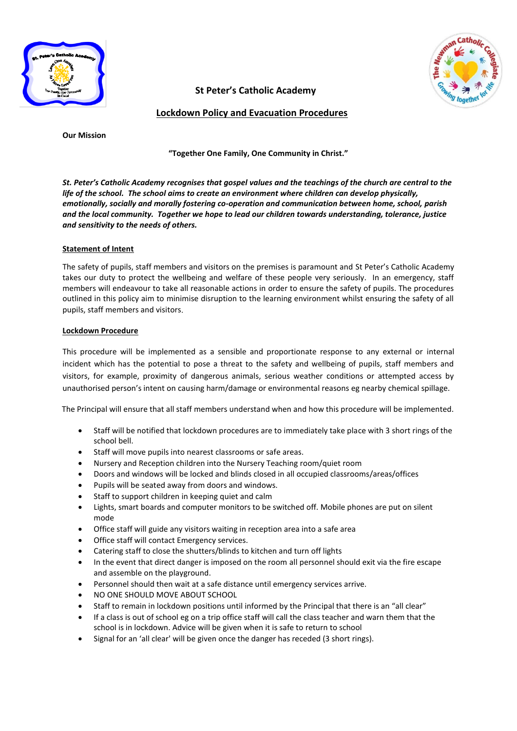

**St Peter's Catholic Academy** 

**Lockdown Policy and Evacuation Procedures**

**Our Mission**

**"Together One Family, One Community in Christ."**

*St. Peter's Catholic Academy recognises that gospel values and the teachings of the church are central to the life of the school. The school aims to create an environment where children can develop physically, emotionally, socially and morally fostering co-operation and communication between home, school, parish and the local community. Together we hope to lead our children towards understanding, tolerance, justice and sensitivity to the needs of others.*

## **Statement of Intent**

The safety of pupils, staff members and visitors on the premises is paramount and St Peter's Catholic Academy takes our duty to protect the wellbeing and welfare of these people very seriously. In an emergency, staff members will endeavour to take all reasonable actions in order to ensure the safety of pupils. The procedures outlined in this policy aim to minimise disruption to the learning environment whilst ensuring the safety of all pupils, staff members and visitors.

## **Lockdown Procedure**

This procedure will be implemented as a sensible and proportionate response to any external or internal incident which has the potential to pose a threat to the safety and wellbeing of pupils, staff members and visitors, for example, proximity of dangerous animals, serious weather conditions or attempted access by unauthorised person's intent on causing harm/damage or environmental reasons eg nearby chemical spillage.

The Principal will ensure that all staff members understand when and how this procedure will be implemented.

- Staff will be notified that lockdown procedures are to immediately take place with 3 short rings of the school bell.
- Staff will move pupils into nearest classrooms or safe areas.
- Nursery and Reception children into the Nursery Teaching room/quiet room
- Doors and windows will be locked and blinds closed in all occupied classrooms/areas/offices
- Pupils will be seated away from doors and windows.
- Staff to support children in keeping quiet and calm
- Lights, smart boards and computer monitors to be switched off. Mobile phones are put on silent mode
- Office staff will guide any visitors waiting in reception area into a safe area
- Office staff will contact Emergency services.
- Catering staff to close the shutters/blinds to kitchen and turn off lights
- In the event that direct danger is imposed on the room all personnel should exit via the fire escape and assemble on the playground.
- Personnel should then wait at a safe distance until emergency services arrive.
- NO ONE SHOULD MOVE ABOUT SCHOOL
- Staff to remain in lockdown positions until informed by the Principal that there is an "all clear"
- If a class is out of school eg on a trip office staff will call the class teacher and warn them that the school is in lockdown. Advice will be given when it is safe to return to school
- Signal for an 'all clear' will be given once the danger has receded (3 short rings).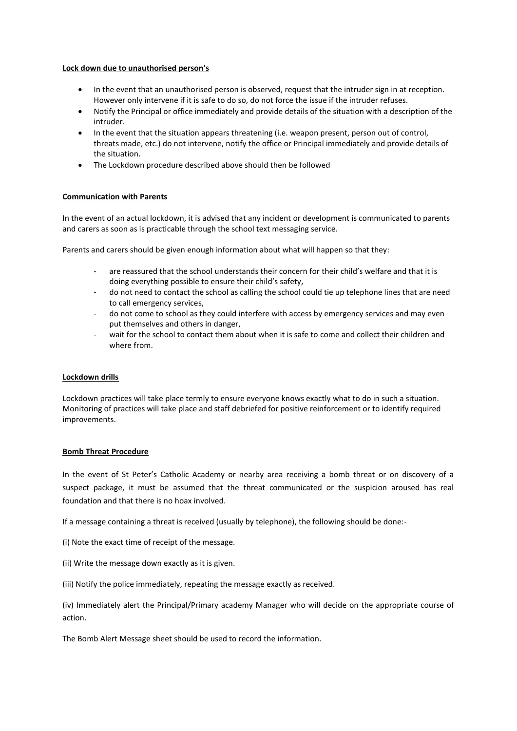## **Lock down due to unauthorised person's**

- In the event that an unauthorised person is observed, request that the intruder sign in at reception. However only intervene if it is safe to do so, do not force the issue if the intruder refuses.
- Notify the Principal or office immediately and provide details of the situation with a description of the intruder.
- In the event that the situation appears threatening (i.e. weapon present, person out of control, threats made, etc.) do not intervene, notify the office or Principal immediately and provide details of the situation.
- The Lockdown procedure described above should then be followed

## **Communication with Parents**

In the event of an actual lockdown, it is advised that any incident or development is communicated to parents and carers as soon as is practicable through the school text messaging service.

Parents and carers should be given enough information about what will happen so that they:

- are reassured that the school understands their concern for their child's welfare and that it is doing everything possible to ensure their child's safety,
- do not need to contact the school as calling the school could tie up telephone lines that are need to call emergency services,
- do not come to school as they could interfere with access by emergency services and may even put themselves and others in danger,
- wait for the school to contact them about when it is safe to come and collect their children and where from.

### **Lockdown drills**

Lockdown practices will take place termly to ensure everyone knows exactly what to do in such a situation. Monitoring of practices will take place and staff debriefed for positive reinforcement or to identify required improvements.

# **Bomb Threat Procedure**

In the event of St Peter's Catholic Academy or nearby area receiving a bomb threat or on discovery of a suspect package, it must be assumed that the threat communicated or the suspicion aroused has real foundation and that there is no hoax involved.

If a message containing a threat is received (usually by telephone), the following should be done:-

- (i) Note the exact time of receipt of the message.
- (ii) Write the message down exactly as it is given.
- (iii) Notify the police immediately, repeating the message exactly as received.

(iv) Immediately alert the Principal/Primary academy Manager who will decide on the appropriate course of action.

The Bomb Alert Message sheet should be used to record the information.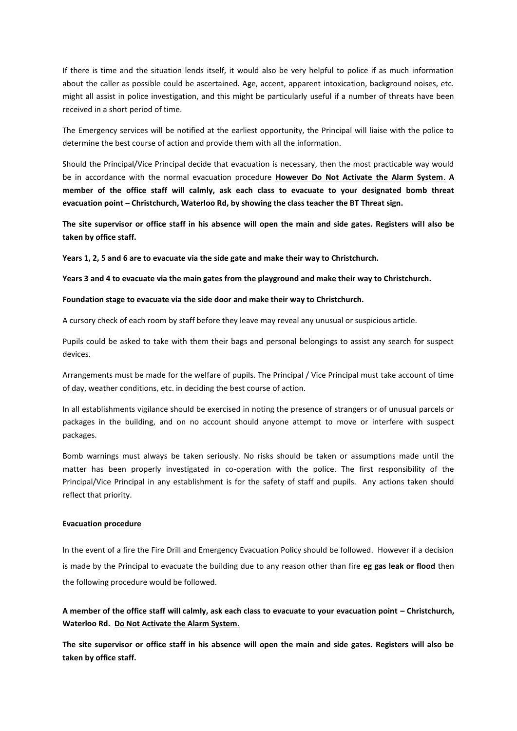If there is time and the situation lends itself, it would also be very helpful to police if as much information about the caller as possible could be ascertained. Age, accent, apparent intoxication, background noises, etc. might all assist in police investigation, and this might be particularly useful if a number of threats have been received in a short period of time.

The Emergency services will be notified at the earliest opportunity, the Principal will liaise with the police to determine the best course of action and provide them with all the information.

Should the Principal/Vice Principal decide that evacuation is necessary, then the most practicable way would be in accordance with the normal evacuation procedure **However Do Not Activate the Alarm System**. **A member of the office staff will calmly, ask each class to evacuate to your designated bomb threat evacuation point – Christchurch, Waterloo Rd, by showing the class teacher the BT Threat sign.**

**The site supervisor or office staff in his absence will open the main and side gates. Registers will also be taken by office staff.**

**Years 1, 2, 5 and 6 are to evacuate via the side gate and make their way to Christchurch.**

**Years 3 and 4 to evacuate via the main gates from the playground and make their way to Christchurch.**

#### **Foundation stage to evacuate via the side door and make their way to Christchurch.**

A cursory check of each room by staff before they leave may reveal any unusual or suspicious article.

Pupils could be asked to take with them their bags and personal belongings to assist any search for suspect devices.

Arrangements must be made for the welfare of pupils. The Principal / Vice Principal must take account of time of day, weather conditions, etc. in deciding the best course of action.

In all establishments vigilance should be exercised in noting the presence of strangers or of unusual parcels or packages in the building, and on no account should anyone attempt to move or interfere with suspect packages.

Bomb warnings must always be taken seriously. No risks should be taken or assumptions made until the matter has been properly investigated in co-operation with the police. The first responsibility of the Principal/Vice Principal in any establishment is for the safety of staff and pupils. Any actions taken should reflect that priority.

#### **Evacuation procedure**

In the event of a fire the Fire Drill and Emergency Evacuation Policy should be followed. However if a decision is made by the Principal to evacuate the building due to any reason other than fire **eg gas leak or flood** then the following procedure would be followed.

**A member of the office staff will calmly, ask each class to evacuate to your evacuation point – Christchurch, Waterloo Rd. Do Not Activate the Alarm System**.

**The site supervisor or office staff in his absence will open the main and side gates. Registers will also be taken by office staff.**